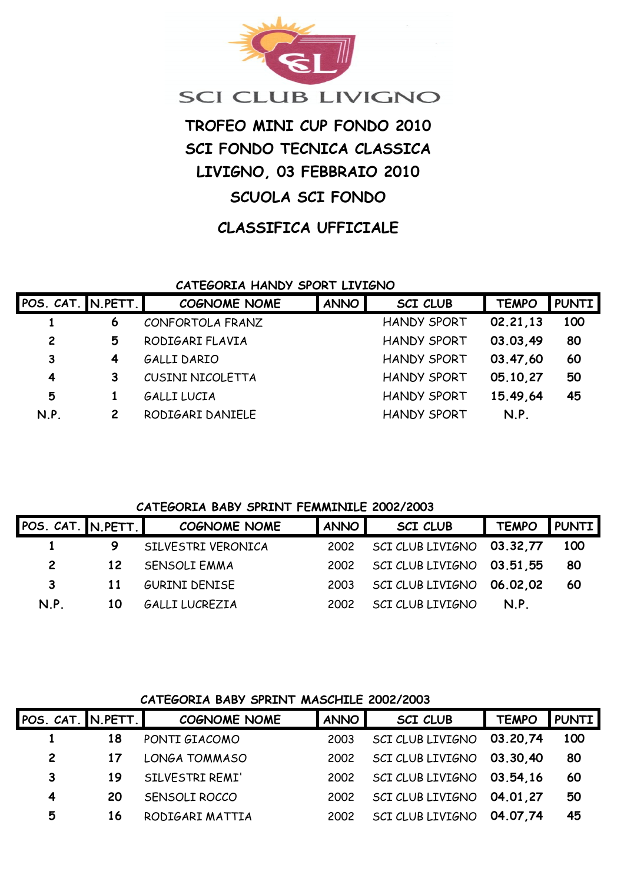

# **SCI CLUB LIVIGNO**

# **TROFEO MINI CUP FONDO 2010 SCI FONDO TECNICA CLASSICA LIVIGNO, 03 FEBBRAIO 2010 SCUOLA SCI FONDO**

# **CLASSIFICA UFFICIALE**

## **CATEGORIA HANDY SPORT LIVIGNO**

| POS. CAT. IN.PETT. I |   | <b>COGNOME NOME</b>     | <b>ANNO</b> | <b>SCI CLUB</b>    | <b>TEMPO</b> | <b>PUNTI</b> |
|----------------------|---|-------------------------|-------------|--------------------|--------------|--------------|
|                      | 6 | CONFORTOLA FRANZ        |             | <b>HANDY SPORT</b> | 02.21.13     | 100          |
| $\overline{c}$       | 5 | RODIGARI FLAVIA         |             | <b>HANDY SPORT</b> | 03.03.49     | 80           |
| 3                    | 4 | GALLI DARIO             |             | <b>HANDY SPORT</b> | 03.47.60     | 60           |
| 4                    | 3 | <b>CUSINI NICOLETTA</b> |             | <b>HANDY SPORT</b> | 05.10,27     | 50           |
| 5                    |   | <b>GALLI LUCIA</b>      |             | <b>HANDY SPORT</b> | 15.49,64     | 45           |
| N.P.                 | 2 | RODIGARI DANIELE        |             | <b>HANDY SPORT</b> | N.P.         |              |

#### **CATEGORIA BABY SPRINT FEMMINILE 2002/2003**

| POS. CAT. IN.PETT.I |                 | <b>COGNOME NOME</b>  | <b>ANNO</b> | <b>SCI CLUB</b>           | <b>TEMPO</b> | <b>PUNTI</b> |
|---------------------|-----------------|----------------------|-------------|---------------------------|--------------|--------------|
|                     |                 | SILVESTRI VERONICA   | 2002        | SCI CLUB LIVIGNO 03.32,77 |              | <b>100</b>   |
| $\mathbf{2}$        | 12 <sup>2</sup> | SENSOLI EMMA         | 2002        | SCI CLUB LIVIGNO 03.51,55 |              | 80           |
| 3                   | 11              | <b>GURINI DENISE</b> | 2003        | SCI CLUB LIVIGNO 06.02.02 |              | 60           |
| N.P.                | 10              | GALLI LUCREZIA       | 2002        | SCI CLUB LIVIGNO          | N.P.         |              |

#### **CATEGORIA BABY SPRINT MASCHILE 2002/2003**

| POS. CAT. IN.PETT. |    | <b>COGNOME NOME</b> | <b>ANNO</b> | <b>SCI CLUB</b>  | <b>TEMPO</b> | <b>PUNTI</b> |
|--------------------|----|---------------------|-------------|------------------|--------------|--------------|
|                    | 18 | PONTI GIACOMO       | 2003        | SCI CLUB LIVIGNO | 03.20,74     | 100          |
| 2                  | 17 | LONGA TOMMASO       | 2002        | SCI CLUB LIVIGNO | 03.30.40     | 80           |
| 3                  | 19 | SILVESTRI REMI'     | 2002        | SCI CLUB LIVIGNO | 03.54.16     | 60           |
| 4                  | 20 | SENSOLI ROCCO       | 2002        | SCI CLUB LIVIGNO | 04.01.27     | 50           |
| 5                  | 16 | RODIGARI MATTIA     | 2002        | SCI CLUB LIVIGNO | 04.07.74     | 45           |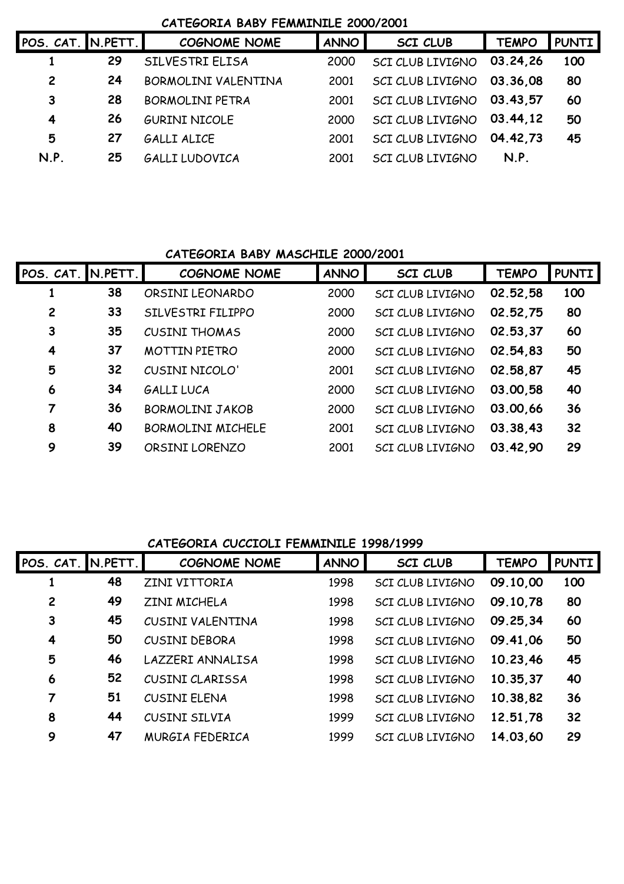#### **CATEGORIA BABY FEMMINILE 2000/2001**

| POS. CAT. N.PETT. |    | <b>COGNOME NOME</b>    | <b>ANNO</b> | <b>SCI CLUB</b>  | <b>TEMPO</b> | <b>PUNTI</b> |
|-------------------|----|------------------------|-------------|------------------|--------------|--------------|
|                   | 29 | SILVESTRI ELISA        | 2000        | SCI CLUB LIVIGNO | 03.24.26     | 100          |
| $\overline{c}$    | 24 | BORMOLINI VALENTINA    | 2001        | SCI CLUB LIVIGNO | 03.36.08     | 80           |
| 3                 | 28 | <b>BORMOLINI PETRA</b> | 2001        | SCI CLUB LIVIGNO | 03.43.57     | 60           |
| 4                 | 26 | <b>GURINI NICOLE</b>   | 2000        | SCI CLUB LIVIGNO | 03.44.12     | 50           |
| 5                 | 27 | <b>GALLI ALICE</b>     | 2001        | SCI CLUB LIVIGNO | 04.42.73     | 45           |
| N.P.              | 25 | <b>GALLI LUDOVICA</b>  | 2001        | SCI CLUB LIVIGNO | N.P.         |              |
|                   |    |                        |             |                  |              |              |

## **CATEGORIA BABY MASCHILE 2000/2001**

| POS. CAT. IN.PETT.      |    | <b>COGNOME NOME</b>      | <b>ANNO</b> | <b>SCI CLUB</b>         | <b>TEMPO</b> | <b>PUNTI</b> |
|-------------------------|----|--------------------------|-------------|-------------------------|--------------|--------------|
|                         | 38 | ORSINI LEONARDO          | 2000        | SCI CLUB LIVIGNO        | 02.52,58     | 100          |
| 2                       | 33 | SILVESTRI FILIPPO        | 2000        | <b>SCI CLUB LIVIGNO</b> | 02.52,75     | 80           |
| 3                       | 35 | <b>CUSINI THOMAS</b>     | 2000        | SCI CLUB LIVIGNO        | 02.53,37     | 60           |
| $\overline{\mathbf{4}}$ | 37 | <b>MOTTIN PIETRO</b>     | 2000        | <b>SCI CLUB LIVIGNO</b> | 02.54,83     | 50           |
| 5                       | 32 | CUSINI NICOLO'           | 2001        | SCI CLUB LIVIGNO        | 02.58,87     | 45           |
| 6                       | 34 | <b>GALLILUCA</b>         | 2000        | SCI CLUB LIVIGNO        | 03.00,58     | 40           |
| 7                       | 36 | <b>BORMOLINI JAKOB</b>   | 2000        | <b>SCI CLUB LIVIGNO</b> | 03.00,66     | 36           |
| 8                       | 40 | <b>BORMOLINI MICHELE</b> | 2001        | <b>SCI CLUB LIVIGNO</b> | 03.38.43     | 32           |
| 9                       | 39 | ORSINI LORENZO           | 2001        | <b>SCI CLUB LIVIGNO</b> | 03.42,90     | 29           |

#### **CATEGORIA CUCCIOLI FEMMINILE 1998/1999**

| POS.~CAT.~ N.PETT. |    | <b>COGNOME NOME</b>  | <b>ANNO</b> | SCI CLUB                | <b>TEMPO</b> | <b>PUNTI</b> |
|--------------------|----|----------------------|-------------|-------------------------|--------------|--------------|
|                    | 48 | ZINI VITTORIA        | 1998        | <b>SCI CLUB LIVIGNO</b> | 09.10,00     | 100          |
| 2                  | 49 | ZINI MICHELA         | 1998        | <b>SCI CLUB LIVIGNO</b> | 09.10,78     | 80           |
| 3                  | 45 | CUSINI VALENTINA     | 1998        | <b>SCI CLUB LIVIGNO</b> | 09.25,34     | 60           |
| 4                  | 50 | <b>CUSINI DEBORA</b> | 1998        | <b>SCI CLUB LIVIGNO</b> | 09.41,06     | 50           |
| 5                  | 46 | LAZZERI ANNALISA     | 1998        | <b>SCI CLUB LIVIGNO</b> | 10.23,46     | 45           |
| 6                  | 52 | CUSINI CLARISSA      | 1998        | <b>SCI CLUB LIVIGNO</b> | 10.35,37     | 40           |
| 7                  | 51 | <b>CUSINI ELENA</b>  | 1998        | <b>SCI CLUB LIVIGNO</b> | 10.38,82     | 36           |
| 8                  | 44 | CUSINI SILVIA        | 1999        | SCI CLUB LIVIGNO        | 12.51,78     | 32           |
| 9                  | 47 | MURGIA FEDERICA      | 1999        | <b>SCI CLUB LIVIGNO</b> | 14.03,60     | 29           |